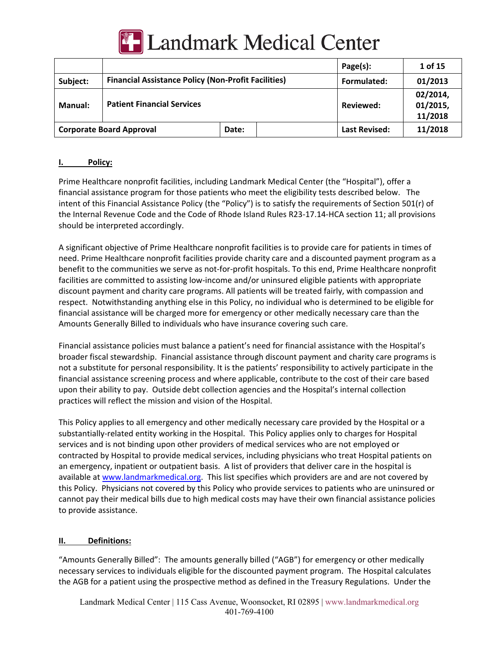

# **Landmark Medical Center**

|                                 |                                                            |       | Page(s):             | 1 of 15                         |
|---------------------------------|------------------------------------------------------------|-------|----------------------|---------------------------------|
| Subject:                        | <b>Financial Assistance Policy (Non-Profit Facilities)</b> |       | Formulated:          | 01/2013                         |
| <b>Manual:</b>                  | <b>Patient Financial Services</b>                          |       | Reviewed:            | 02/2014,<br>01/2015,<br>11/2018 |
| <b>Corporate Board Approval</b> |                                                            | Date: | <b>Last Revised:</b> | 11/2018                         |

## **I. Policy:**

Prime Healthcare nonprofit facilities, including Landmark Medical Center (the "Hospital"), offer a financial assistance program for those patients who meet the eligibility tests described below. The intent of this Financial Assistance Policy (the "Policy") is to satisfy the requirements of Section 501(r) of the Internal Revenue Code and the Code of Rhode Island Rules R23-17.14-HCA section 11; all provisions should be interpreted accordingly.

A significant objective of Prime Healthcare nonprofit facilities is to provide care for patients in times of need. Prime Healthcare nonprofit facilities provide charity care and a discounted payment program as a benefit to the communities we serve as not-for-profit hospitals. To this end, Prime Healthcare nonprofit facilities are committed to assisting low-income and/or uninsured eligible patients with appropriate discount payment and charity care programs. All patients will be treated fairly, with compassion and respect. Notwithstanding anything else in this Policy, no individual who is determined to be eligible for financial assistance will be charged more for emergency or other medically necessary care than the Amounts Generally Billed to individuals who have insurance covering such care.

Financial assistance policies must balance a patient's need for financial assistance with the Hospital's broader fiscal stewardship. Financial assistance through discount payment and charity care programs is not a substitute for personal responsibility. It is the patients' responsibility to actively participate in the financial assistance screening process and where applicable, contribute to the cost of their care based upon their ability to pay. Outside debt collection agencies and the Hospital's internal collection practices will reflect the mission and vision of the Hospital.

This Policy applies to all emergency and other medically necessary care provided by the Hospital or a substantially-related entity working in the Hospital. This Policy applies only to charges for Hospital services and is not binding upon other providers of medical services who are not employed or contracted by Hospital to provide medical services, including physicians who treat Hospital patients on an emergency, inpatient or outpatient basis. A list of providers that deliver care in the hospital is available at www.landmarkmedical.org. This list specifies which providers are and are not covered by this Policy. Physicians not covered by this Policy who provide services to patients who are uninsured or cannot pay their medical bills due to high medical costs may have their own financial assistance policies to provide assistance.

#### **II. Definitions:**

"Amounts Generally Billed": The amounts generally billed ("AGB") for emergency or other medically necessary services to individuals eligible for the discounted payment program. The Hospital calculates the AGB for a patient using the prospective method as defined in the Treasury Regulations. Under the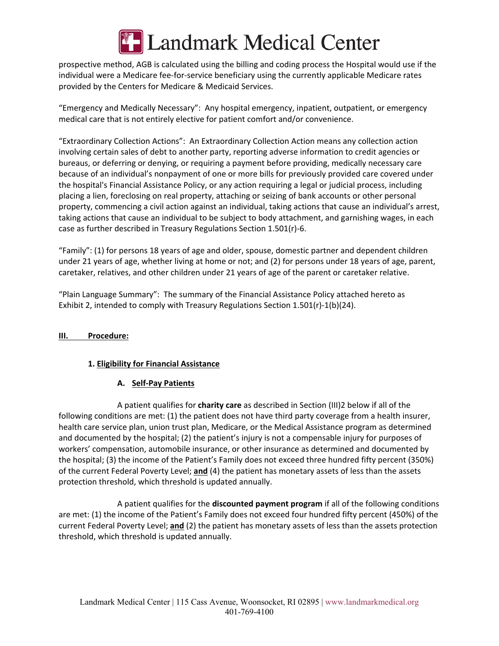

prospective method, AGB is calculated using the billing and coding process the Hospital would use if the individual were a Medicare fee-for-service beneficiary using the currently applicable Medicare rates provided by the Centers for Medicare & Medicaid Services.

"Emergency and Medically Necessary": Any hospital emergency, inpatient, outpatient, or emergency medical care that is not entirely elective for patient comfort and/or convenience.

"Extraordinary Collection Actions": An Extraordinary Collection Action means any collection action involving certain sales of debt to another party, reporting adverse information to credit agencies or bureaus, or deferring or denying, or requiring a payment before providing, medically necessary care because of an individual's nonpayment of one or more bills for previously provided care covered under the hospital's Financial Assistance Policy, or any action requiring a legal or judicial process, including placing a lien, foreclosing on real property, attaching or seizing of bank accounts or other personal property, commencing a civil action against an individual, taking actions that cause an individual's arrest, taking actions that cause an individual to be subject to body attachment, and garnishing wages, in each case as further described in Treasury Regulations Section 1.501(r)-6.

"Family": (1) for persons 18 years of age and older, spouse, domestic partner and dependent children under 21 years of age, whether living at home or not; and (2) for persons under 18 years of age, parent, caretaker, relatives, and other children under 21 years of age of the parent or caretaker relative.

"Plain Language Summary": The summary of the Financial Assistance Policy attached hereto as Exhibit 2, intended to comply with Treasury Regulations Section 1.501(r)-1(b)(24).

## **III. Procedure:**

## **1. Eligibility for Financial Assistance**

## **A. Self-Pay Patients**

A patient qualifies for **charity care** as described in Section (III)2 below if all of the following conditions are met: (1) the patient does not have third party coverage from a health insurer, health care service plan, union trust plan, Medicare, or the Medical Assistance program as determined and documented by the hospital; (2) the patient's injury is not a compensable injury for purposes of workers' compensation, automobile insurance, or other insurance as determined and documented by the hospital; (3) the income of the Patient's Family does not exceed three hundred fifty percent (350%) of the current Federal Poverty Level; **and** (4) the patient has monetary assets of less than the assets protection threshold, which threshold is updated annually.

A patient qualifies for the **discounted payment program** if all of the following conditions are met: (1) the income of the Patient's Family does not exceed four hundred fifty percent (450%) of the current Federal Poverty Level; **and** (2) the patient has monetary assets of less than the assets protection threshold, which threshold is updated annually.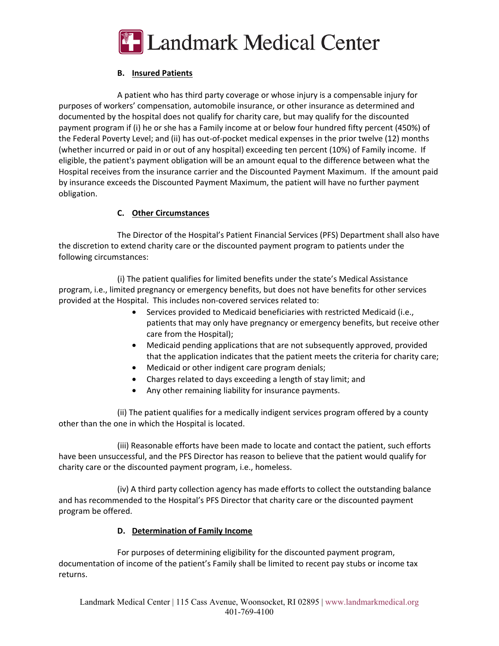

# **B. Insured Patients**

A patient who has third party coverage or whose injury is a compensable injury for purposes of workers' compensation, automobile insurance, or other insurance as determined and documented by the hospital does not qualify for charity care, but may qualify for the discounted payment program if (i) he or she has a Family income at or below four hundred fifty percent (450%) of the Federal Poverty Level; and (ii) has out-of-pocket medical expenses in the prior twelve (12) months (whether incurred or paid in or out of any hospital) exceeding ten percent (10%) of Family income. If eligible, the patient's payment obligation will be an amount equal to the difference between what the Hospital receives from the insurance carrier and the Discounted Payment Maximum. If the amount paid by insurance exceeds the Discounted Payment Maximum, the patient will have no further payment obligation.

# **C. Other Circumstances**

The Director of the Hospital's Patient Financial Services (PFS) Department shall also have the discretion to extend charity care or the discounted payment program to patients under the following circumstances:

(i) The patient qualifies for limited benefits under the state's Medical Assistance program, i.e., limited pregnancy or emergency benefits, but does not have benefits for other services provided at the Hospital. This includes non-covered services related to:

- Services provided to Medicaid beneficiaries with restricted Medicaid (i.e., patients that may only have pregnancy or emergency benefits, but receive other care from the Hospital);
- Medicaid pending applications that are not subsequently approved, provided that the application indicates that the patient meets the criteria for charity care;
- Medicaid or other indigent care program denials;
- Charges related to days exceeding a length of stay limit; and
- Any other remaining liability for insurance payments.

(ii) The patient qualifies for a medically indigent services program offered by a county other than the one in which the Hospital is located.

(iii) Reasonable efforts have been made to locate and contact the patient, such efforts have been unsuccessful, and the PFS Director has reason to believe that the patient would qualify for charity care or the discounted payment program, i.e., homeless.

(iv) A third party collection agency has made efforts to collect the outstanding balance and has recommended to the Hospital's PFS Director that charity care or the discounted payment program be offered.

## **D. Determination of Family Income**

For purposes of determining eligibility for the discounted payment program, documentation of income of the patient's Family shall be limited to recent pay stubs or income tax returns.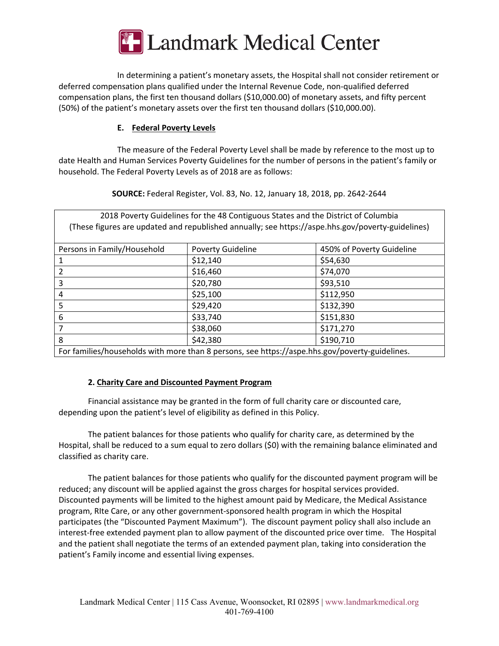

In determining a patient's monetary assets, the Hospital shall not consider retirement or deferred compensation plans qualified under the Internal Revenue Code, non-qualified deferred compensation plans, the first ten thousand dollars (\$10,000.00) of monetary assets, and fifty percent (50%) of the patient's monetary assets over the first ten thousand dollars (\$10,000.00).

## **E. Federal Poverty Levels**

The measure of the Federal Poverty Level shall be made by reference to the most up to date Health and Human Services Poverty Guidelines for the number of persons in the patient's family or household. The Federal Poverty Levels as of 2018 are as follows:

**SOURCE:** Federal Register, Vol. 83, No. 12, January 18, 2018, pp. 2642-2644

2018 Poverty Guidelines for the 48 Contiguous States and the District of Columbia (These figures are updated and republished annually; see https://aspe.hhs.gov/poverty-guidelines) Persons in Family/Household Poverty Guideline 1950% of Poverty Guideline  $\begin{vmatrix} 512,140 \end{vmatrix}$  \\end{554,630} 2  $|$16,460$   $|$74,070$ 3  $\vert$  \$20,780  $\vert$  \$93,510 4  $\frac{1}{25,100}$   $\frac{1}{25,100}$   $\frac{1}{2,112,950}$  $\begin{array}{|c|c|c|c|c|c|c|c|} \hline \text{5} & \text{5} & \text{5} & \text{5} & \text{5} & \text{5} & \text{5} & \text{5} & \text{5} & \text{5} & \text{5} & \text{5} & \text{5} & \text{5} & \text{5} & \text{5} & \text{5} & \text{5} & \text{5} & \text{5} & \text{5} & \text{5} & \text{5} & \text{5} & \text{5} & \text{5} & \text{5} & \text{5} & \text{5} & \text{5} & \text{5} & \text{5} & \text$  $6$   $\frac{\text{533,740}}{\text{533,740}}$   $5151,830$ 7 \$38,060 \$171,270 8 \$190,710 For families/households with more than 8 persons, see https://aspe.hhs.gov/poverty-guidelines.

## **2. Charity Care and Discounted Payment Program**

Financial assistance may be granted in the form of full charity care or discounted care, depending upon the patient's level of eligibility as defined in this Policy.

The patient balances for those patients who qualify for charity care, as determined by the Hospital, shall be reduced to a sum equal to zero dollars (\$0) with the remaining balance eliminated and classified as charity care.

The patient balances for those patients who qualify for the discounted payment program will be reduced; any discount will be applied against the gross charges for hospital services provided. Discounted payments will be limited to the highest amount paid by Medicare, the Medical Assistance program, RIte Care, or any other government-sponsored health program in which the Hospital participates (the "Discounted Payment Maximum"). The discount payment policy shall also include an interest-free extended payment plan to allow payment of the discounted price over time. The Hospital and the patient shall negotiate the terms of an extended payment plan, taking into consideration the patient's Family income and essential living expenses.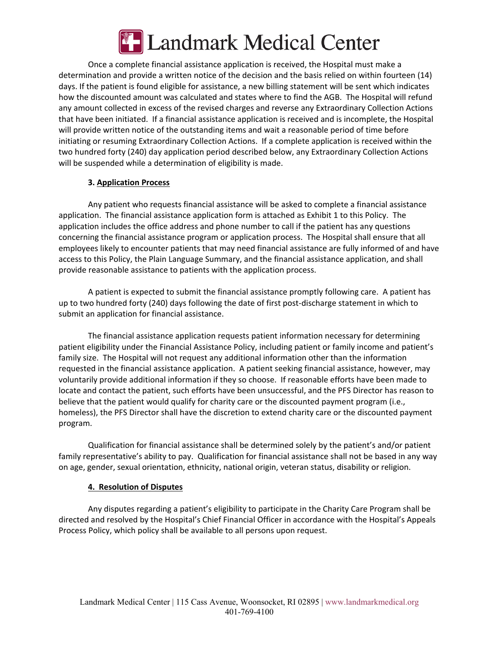

Once a complete financial assistance application is received, the Hospital must make a determination and provide a written notice of the decision and the basis relied on within fourteen (14) days. If the patient is found eligible for assistance, a new billing statement will be sent which indicates how the discounted amount was calculated and states where to find the AGB. The Hospital will refund any amount collected in excess of the revised charges and reverse any Extraordinary Collection Actions that have been initiated. If a financial assistance application is received and is incomplete, the Hospital will provide written notice of the outstanding items and wait a reasonable period of time before initiating or resuming Extraordinary Collection Actions. If a complete application is received within the two hundred forty (240) day application period described below, any Extraordinary Collection Actions will be suspended while a determination of eligibility is made.

## **3. Application Process**

Any patient who requests financial assistance will be asked to complete a financial assistance application. The financial assistance application form is attached as Exhibit 1 to this Policy. The application includes the office address and phone number to call if the patient has any questions concerning the financial assistance program or application process. The Hospital shall ensure that all employees likely to encounter patients that may need financial assistance are fully informed of and have access to this Policy, the Plain Language Summary, and the financial assistance application, and shall provide reasonable assistance to patients with the application process.

A patient is expected to submit the financial assistance promptly following care. A patient has up to two hundred forty (240) days following the date of first post-discharge statement in which to submit an application for financial assistance.

The financial assistance application requests patient information necessary for determining patient eligibility under the Financial Assistance Policy, including patient or family income and patient's family size. The Hospital will not request any additional information other than the information requested in the financial assistance application. A patient seeking financial assistance, however, may voluntarily provide additional information if they so choose. If reasonable efforts have been made to locate and contact the patient, such efforts have been unsuccessful, and the PFS Director has reason to believe that the patient would qualify for charity care or the discounted payment program (i.e., homeless), the PFS Director shall have the discretion to extend charity care or the discounted payment program.

Qualification for financial assistance shall be determined solely by the patient's and/or patient family representative's ability to pay. Qualification for financial assistance shall not be based in any way on age, gender, sexual orientation, ethnicity, national origin, veteran status, disability or religion.

#### **4. Resolution of Disputes**

Any disputes regarding a patient's eligibility to participate in the Charity Care Program shall be directed and resolved by the Hospital's Chief Financial Officer in accordance with the Hospital's Appeals Process Policy, which policy shall be available to all persons upon request.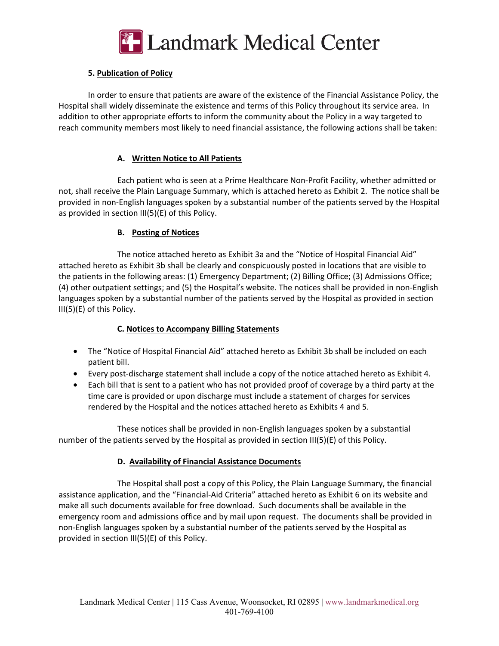

# **5. Publication of Policy**

In order to ensure that patients are aware of the existence of the Financial Assistance Policy, the Hospital shall widely disseminate the existence and terms of this Policy throughout its service area. In addition to other appropriate efforts to inform the community about the Policy in a way targeted to reach community members most likely to need financial assistance, the following actions shall be taken:

# **A. Written Notice to All Patients**

Each patient who is seen at a Prime Healthcare Non-Profit Facility, whether admitted or not, shall receive the Plain Language Summary, which is attached hereto as Exhibit 2. The notice shall be provided in non-English languages spoken by a substantial number of the patients served by the Hospital as provided in section III(5)(E) of this Policy.

## **B. Posting of Notices**

The notice attached hereto as Exhibit 3a and the "Notice of Hospital Financial Aid" attached hereto as Exhibit 3b shall be clearly and conspicuously posted in locations that are visible to the patients in the following areas: (1) Emergency Department; (2) Billing Office; (3) Admissions Office; (4) other outpatient settings; and (5) the Hospital's website. The notices shall be provided in non-English languages spoken by a substantial number of the patients served by the Hospital as provided in section III(5)(E) of this Policy.

## **C. Notices to Accompany Billing Statements**

- The "Notice of Hospital Financial Aid" attached hereto as Exhibit 3b shall be included on each patient bill.
- Every post-discharge statement shall include a copy of the notice attached hereto as Exhibit 4.
- Each bill that is sent to a patient who has not provided proof of coverage by a third party at the time care is provided or upon discharge must include a statement of charges for services rendered by the Hospital and the notices attached hereto as Exhibits 4 and 5.

These notices shall be provided in non-English languages spoken by a substantial number of the patients served by the Hospital as provided in section III(5)(E) of this Policy.

## **D. Availability of Financial Assistance Documents**

The Hospital shall post a copy of this Policy, the Plain Language Summary, the financial assistance application, and the "Financial-Aid Criteria" attached hereto as Exhibit 6 on its website and make all such documents available for free download. Such documents shall be available in the emergency room and admissions office and by mail upon request. The documents shall be provided in non-English languages spoken by a substantial number of the patients served by the Hospital as provided in section III(5)(E) of this Policy.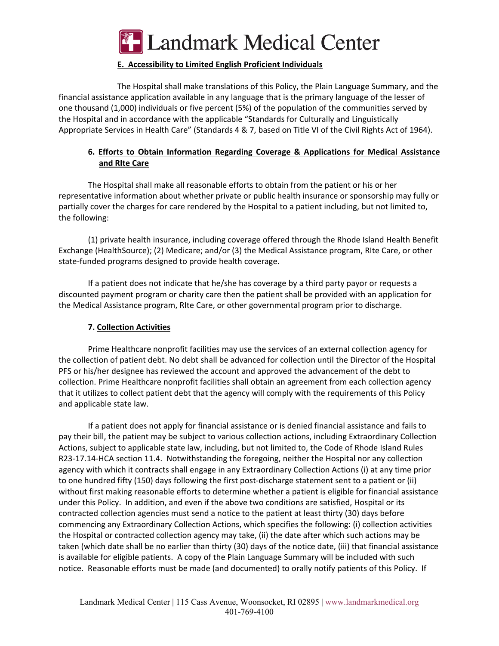

# **E. Accessibility to Limited English Proficient Individuals**

The Hospital shall make translations of this Policy, the Plain Language Summary, and the financial assistance application available in any language that is the primary language of the lesser of one thousand (1,000) individuals or five percent (5%) of the population of the communities served by the Hospital and in accordance with the applicable "Standards for Culturally and Linguistically Appropriate Services in Health Care" (Standards 4 & 7, based on Title VI of the Civil Rights Act of 1964).

# **6. Efforts to Obtain Information Regarding Coverage & Applications for Medical Assistance and RIte Care**

The Hospital shall make all reasonable efforts to obtain from the patient or his or her representative information about whether private or public health insurance or sponsorship may fully or partially cover the charges for care rendered by the Hospital to a patient including, but not limited to, the following:

(1) private health insurance, including coverage offered through the Rhode Island Health Benefit Exchange (HealthSource); (2) Medicare; and/or (3) the Medical Assistance program, RIte Care, or other state-funded programs designed to provide health coverage.

If a patient does not indicate that he/she has coverage by a third party payor or requests a discounted payment program or charity care then the patient shall be provided with an application for the Medical Assistance program, RIte Care, or other governmental program prior to discharge.

## **7. Collection Activities**

Prime Healthcare nonprofit facilities may use the services of an external collection agency for the collection of patient debt. No debt shall be advanced for collection until the Director of the Hospital PFS or his/her designee has reviewed the account and approved the advancement of the debt to collection. Prime Healthcare nonprofit facilities shall obtain an agreement from each collection agency that it utilizes to collect patient debt that the agency will comply with the requirements of this Policy and applicable state law.

If a patient does not apply for financial assistance or is denied financial assistance and fails to pay their bill, the patient may be subject to various collection actions, including Extraordinary Collection Actions, subject to applicable state law, including, but not limited to, the Code of Rhode Island Rules R23-17.14-HCA section 11.4. Notwithstanding the foregoing, neither the Hospital nor any collection agency with which it contracts shall engage in any Extraordinary Collection Actions (i) at any time prior to one hundred fifty (150) days following the first post-discharge statement sent to a patient or (ii) without first making reasonable efforts to determine whether a patient is eligible for financial assistance under this Policy. In addition, and even if the above two conditions are satisfied, Hospital or its contracted collection agencies must send a notice to the patient at least thirty (30) days before commencing any Extraordinary Collection Actions, which specifies the following: (i) collection activities the Hospital or contracted collection agency may take, (ii) the date after which such actions may be taken (which date shall be no earlier than thirty (30) days of the notice date, (iii) that financial assistance is available for eligible patients. A copy of the Plain Language Summary will be included with such notice. Reasonable efforts must be made (and documented) to orally notify patients of this Policy. If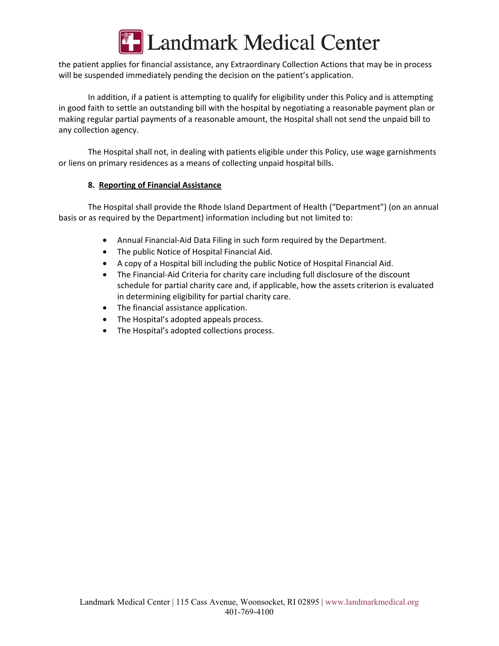

the patient applies for financial assistance, any Extraordinary Collection Actions that may be in process will be suspended immediately pending the decision on the patient's application.

In addition, if a patient is attempting to qualify for eligibility under this Policy and is attempting in good faith to settle an outstanding bill with the hospital by negotiating a reasonable payment plan or making regular partial payments of a reasonable amount, the Hospital shall not send the unpaid bill to any collection agency.

The Hospital shall not, in dealing with patients eligible under this Policy, use wage garnishments or liens on primary residences as a means of collecting unpaid hospital bills.

## **8. Reporting of Financial Assistance**

The Hospital shall provide the Rhode Island Department of Health ("Department") (on an annual basis or as required by the Department) information including but not limited to:

- Annual Financial-Aid Data Filing in such form required by the Department.
- The public Notice of Hospital Financial Aid.
- A copy of a Hospital bill including the public Notice of Hospital Financial Aid.
- The Financial-Aid Criteria for charity care including full disclosure of the discount schedule for partial charity care and, if applicable, how the assets criterion is evaluated in determining eligibility for partial charity care.
- The financial assistance application.
- The Hospital's adopted appeals process.
- The Hospital's adopted collections process.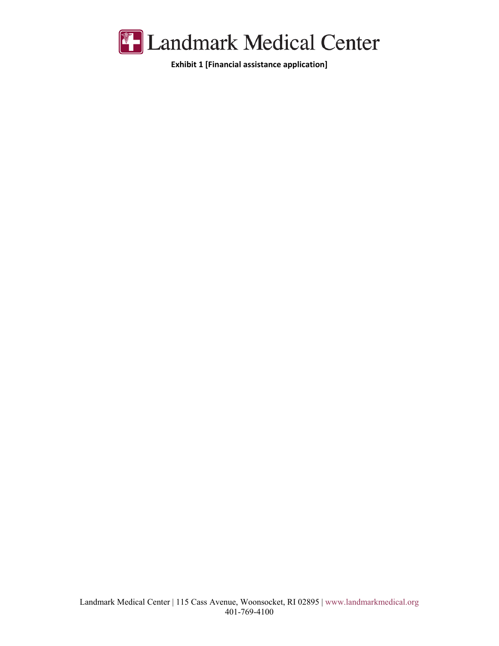

**Exhibit 1 [Financial assistance application]**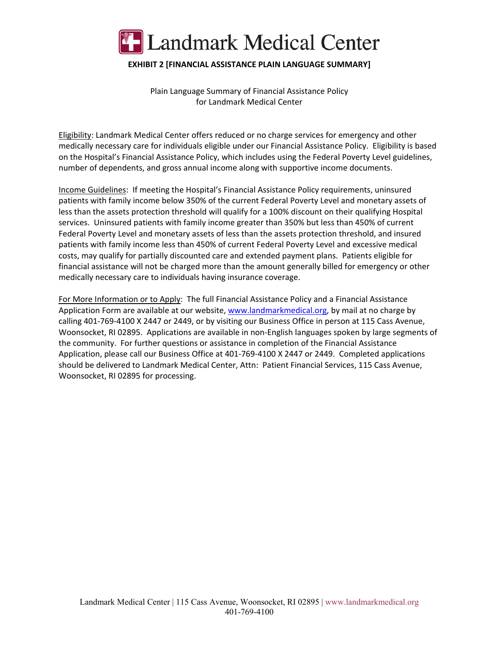

## **EXHIBIT 2 [FINANCIAL ASSISTANCE PLAIN LANGUAGE SUMMARY]**

Plain Language Summary of Financial Assistance Policy for Landmark Medical Center

Eligibility: Landmark Medical Center offers reduced or no charge services for emergency and other medically necessary care for individuals eligible under our Financial Assistance Policy. Eligibility is based on the Hospital's Financial Assistance Policy, which includes using the Federal Poverty Level guidelines, number of dependents, and gross annual income along with supportive income documents.

Income Guidelines: If meeting the Hospital's Financial Assistance Policy requirements, uninsured patients with family income below 350% of the current Federal Poverty Level and monetary assets of less than the assets protection threshold will qualify for a 100% discount on their qualifying Hospital services. Uninsured patients with family income greater than 350% but less than 450% of current Federal Poverty Level and monetary assets of less than the assets protection threshold, and insured patients with family income less than 450% of current Federal Poverty Level and excessive medical costs, may qualify for partially discounted care and extended payment plans. Patients eligible for financial assistance will not be charged more than the amount generally billed for emergency or other medically necessary care to individuals having insurance coverage.

For More Information or to Apply: The full Financial Assistance Policy and a Financial Assistance Application Form are available at our website, www.landmarkmedical.org, by mail at no charge by calling 401-769-4100 X 2447 or 2449, or by visiting our Business Office in person at 115 Cass Avenue, Woonsocket, RI 02895. Applications are available in non-English languages spoken by large segments of the community. For further questions or assistance in completion of the Financial Assistance Application, please call our Business Office at 401-769-4100 X 2447 or 2449. Completed applications should be delivered to Landmark Medical Center, Attn: Patient Financial Services, 115 Cass Avenue, Woonsocket, RI 02895 for processing.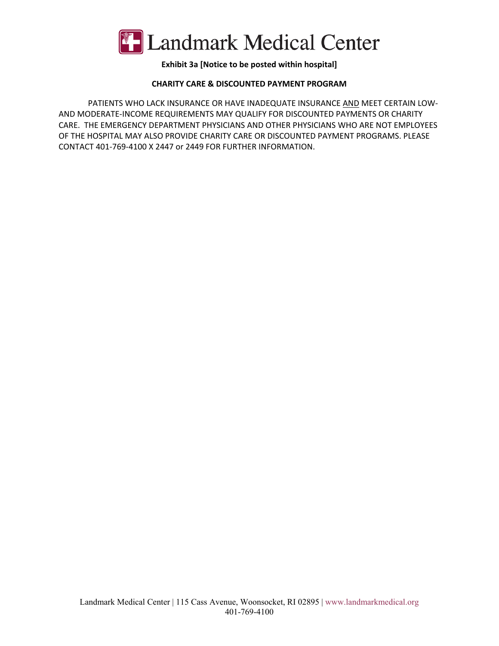

# **Exhibit 3a [Notice to be posted within hospital]**

## **CHARITY CARE & DISCOUNTED PAYMENT PROGRAM**

PATIENTS WHO LACK INSURANCE OR HAVE INADEQUATE INSURANCE AND MEET CERTAIN LOW-AND MODERATE-INCOME REQUIREMENTS MAY QUALIFY FOR DISCOUNTED PAYMENTS OR CHARITY CARE. THE EMERGENCY DEPARTMENT PHYSICIANS AND OTHER PHYSICIANS WHO ARE NOT EMPLOYEES OF THE HOSPITAL MAY ALSO PROVIDE CHARITY CARE OR DISCOUNTED PAYMENT PROGRAMS. PLEASE CONTACT 401-769-4100 X 2447 or 2449 FOR FURTHER INFORMATION.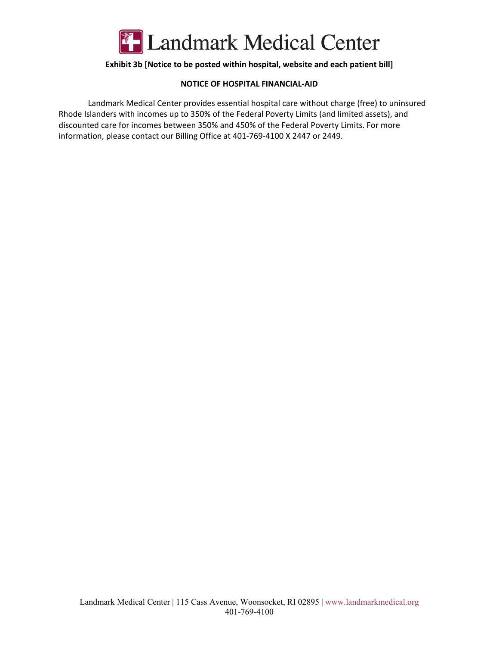

## **Exhibit 3b [Notice to be posted within hospital, website and each patient bill]**

#### **NOTICE OF HOSPITAL FINANCIAL-AID**

Landmark Medical Center provides essential hospital care without charge (free) to uninsured Rhode Islanders with incomes up to 350% of the Federal Poverty Limits (and limited assets), and discounted care for incomes between 350% and 450% of the Federal Poverty Limits. For more information, please contact our Billing Office at 401-769-4100 X 2447 or 2449.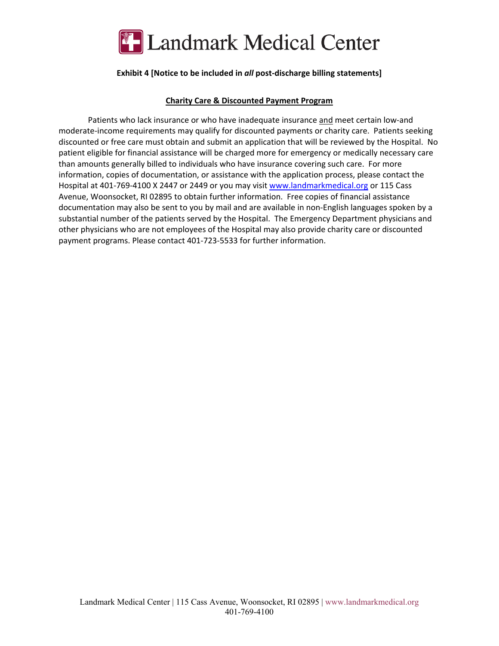

## **Exhibit 4 [Notice to be included in** *all* **post-discharge billing statements]**

#### **Charity Care & Discounted Payment Program**

Patients who lack insurance or who have inadequate insurance and meet certain low-and moderate-income requirements may qualify for discounted payments or charity care. Patients seeking discounted or free care must obtain and submit an application that will be reviewed by the Hospital. No patient eligible for financial assistance will be charged more for emergency or medically necessary care than amounts generally billed to individuals who have insurance covering such care. For more information, copies of documentation, or assistance with the application process, please contact the Hospital at 401-769-4100 X 2447 or 2449 or you may visit www.landmarkmedical.org or 115 Cass Avenue, Woonsocket, RI 02895 to obtain further information. Free copies of financial assistance documentation may also be sent to you by mail and are available in non-English languages spoken by a substantial number of the patients served by the Hospital. The Emergency Department physicians and other physicians who are not employees of the Hospital may also provide charity care or discounted payment programs. Please contact 401-723-5533 for further information.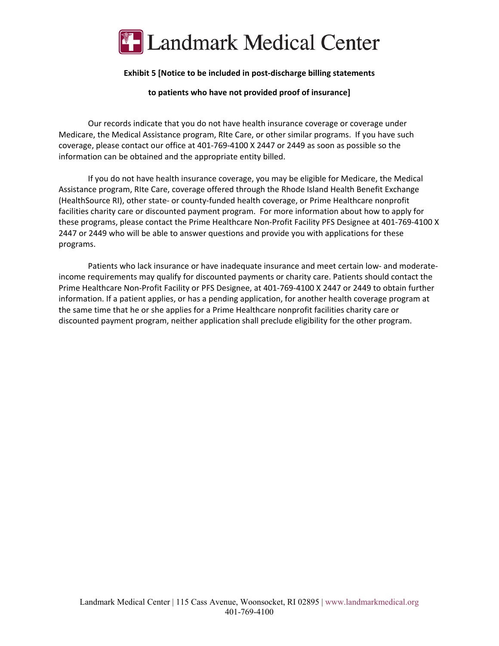

#### **Exhibit 5 [Notice to be included in post-discharge billing statements**

**to patients who have not provided proof of insurance]** 

Our records indicate that you do not have health insurance coverage or coverage under Medicare, the Medical Assistance program, RIte Care, or other similar programs. If you have such coverage, please contact our office at 401-769-4100 X 2447 or 2449 as soon as possible so the information can be obtained and the appropriate entity billed.

If you do not have health insurance coverage, you may be eligible for Medicare, the Medical Assistance program, RIte Care, coverage offered through the Rhode Island Health Benefit Exchange (HealthSource RI), other state- or county-funded health coverage, or Prime Healthcare nonprofit facilities charity care or discounted payment program. For more information about how to apply for these programs, please contact the Prime Healthcare Non-Profit Facility PFS Designee at 401-769-4100 X 2447 or 2449 who will be able to answer questions and provide you with applications for these programs.

Patients who lack insurance or have inadequate insurance and meet certain low- and moderateincome requirements may qualify for discounted payments or charity care. Patients should contact the Prime Healthcare Non-Profit Facility or PFS Designee, at 401-769-4100 X 2447 or 2449 to obtain further information. If a patient applies, or has a pending application, for another health coverage program at the same time that he or she applies for a Prime Healthcare nonprofit facilities charity care or discounted payment program, neither application shall preclude eligibility for the other program.